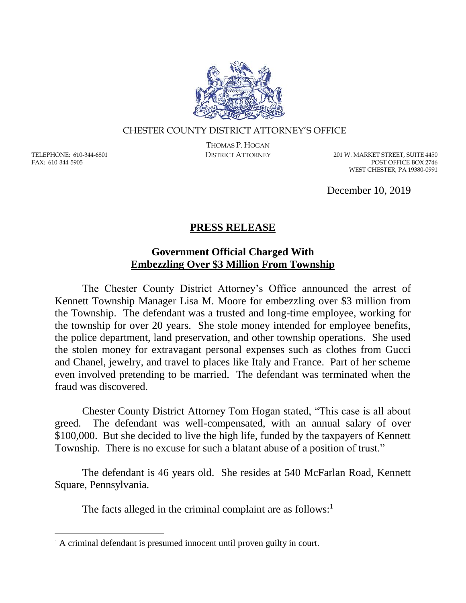

## CHESTER COUNTY DISTRICT ATTORNEY'S OFFICE

TELEPHONE: 610-344-6801 FAX: 610-344-5905

 $\overline{a}$ 

THOMAS P. HOGAN

DISTRICT ATTORNEY 201 W. MARKET STREET, SUITE 4450 POST OFFICE BOX 2746 WEST CHESTER, PA 19380-0991

December 10, 2019

## **PRESS RELEASE**

## **Government Official Charged With Embezzling Over \$3 Million From Township**

The Chester County District Attorney's Office announced the arrest of Kennett Township Manager Lisa M. Moore for embezzling over \$3 million from the Township. The defendant was a trusted and long-time employee, working for the township for over 20 years. She stole money intended for employee benefits, the police department, land preservation, and other township operations. She used the stolen money for extravagant personal expenses such as clothes from Gucci and Chanel, jewelry, and travel to places like Italy and France. Part of her scheme even involved pretending to be married. The defendant was terminated when the fraud was discovered.

Chester County District Attorney Tom Hogan stated, "This case is all about greed. The defendant was well-compensated, with an annual salary of over \$100,000. But she decided to live the high life, funded by the taxpayers of Kennett Township. There is no excuse for such a blatant abuse of a position of trust."

The defendant is 46 years old. She resides at 540 McFarlan Road, Kennett Square, Pennsylvania.

The facts alleged in the criminal complaint are as follows: $<sup>1</sup>$ </sup>

<sup>&</sup>lt;sup>1</sup> A criminal defendant is presumed innocent until proven guilty in court.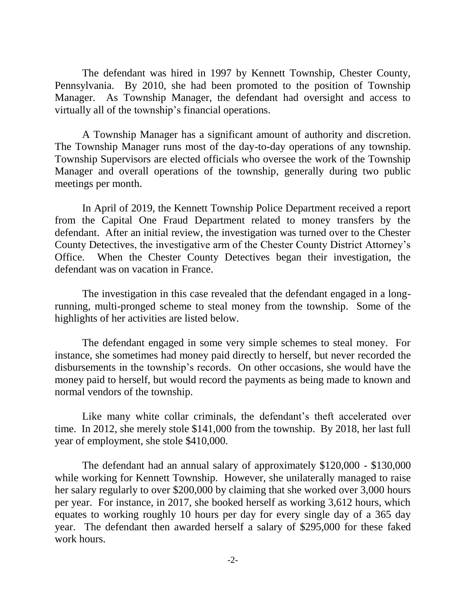The defendant was hired in 1997 by Kennett Township, Chester County, Pennsylvania. By 2010, she had been promoted to the position of Township Manager. As Township Manager, the defendant had oversight and access to virtually all of the township's financial operations.

A Township Manager has a significant amount of authority and discretion. The Township Manager runs most of the day-to-day operations of any township. Township Supervisors are elected officials who oversee the work of the Township Manager and overall operations of the township, generally during two public meetings per month.

In April of 2019, the Kennett Township Police Department received a report from the Capital One Fraud Department related to money transfers by the defendant. After an initial review, the investigation was turned over to the Chester County Detectives, the investigative arm of the Chester County District Attorney's Office. When the Chester County Detectives began their investigation, the defendant was on vacation in France.

The investigation in this case revealed that the defendant engaged in a longrunning, multi-pronged scheme to steal money from the township. Some of the highlights of her activities are listed below.

The defendant engaged in some very simple schemes to steal money. For instance, she sometimes had money paid directly to herself, but never recorded the disbursements in the township's records. On other occasions, she would have the money paid to herself, but would record the payments as being made to known and normal vendors of the township.

Like many white collar criminals, the defendant's theft accelerated over time. In 2012, she merely stole \$141,000 from the township. By 2018, her last full year of employment, she stole \$410,000.

The defendant had an annual salary of approximately \$120,000 - \$130,000 while working for Kennett Township. However, she unilaterally managed to raise her salary regularly to over \$200,000 by claiming that she worked over 3,000 hours per year. For instance, in 2017, she booked herself as working 3,612 hours, which equates to working roughly 10 hours per day for every single day of a 365 day year. The defendant then awarded herself a salary of \$295,000 for these faked work hours.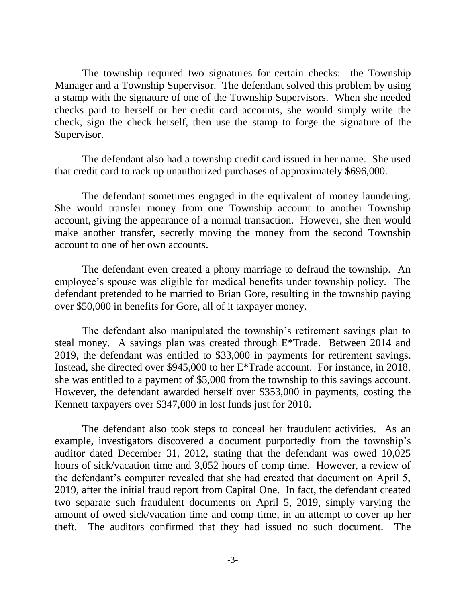The township required two signatures for certain checks: the Township Manager and a Township Supervisor. The defendant solved this problem by using a stamp with the signature of one of the Township Supervisors. When she needed checks paid to herself or her credit card accounts, she would simply write the check, sign the check herself, then use the stamp to forge the signature of the Supervisor.

The defendant also had a township credit card issued in her name. She used that credit card to rack up unauthorized purchases of approximately \$696,000.

The defendant sometimes engaged in the equivalent of money laundering. She would transfer money from one Township account to another Township account, giving the appearance of a normal transaction. However, she then would make another transfer, secretly moving the money from the second Township account to one of her own accounts.

The defendant even created a phony marriage to defraud the township. An employee's spouse was eligible for medical benefits under township policy. The defendant pretended to be married to Brian Gore, resulting in the township paying over \$50,000 in benefits for Gore, all of it taxpayer money.

The defendant also manipulated the township's retirement savings plan to steal money. A savings plan was created through E\*Trade. Between 2014 and 2019, the defendant was entitled to \$33,000 in payments for retirement savings. Instead, she directed over \$945,000 to her E\*Trade account. For instance, in 2018, she was entitled to a payment of \$5,000 from the township to this savings account. However, the defendant awarded herself over \$353,000 in payments, costing the Kennett taxpayers over \$347,000 in lost funds just for 2018.

The defendant also took steps to conceal her fraudulent activities. As an example, investigators discovered a document purportedly from the township's auditor dated December 31, 2012, stating that the defendant was owed 10,025 hours of sick/vacation time and 3,052 hours of comp time. However, a review of the defendant's computer revealed that she had created that document on April 5, 2019, after the initial fraud report from Capital One. In fact, the defendant created two separate such fraudulent documents on April 5, 2019, simply varying the amount of owed sick/vacation time and comp time, in an attempt to cover up her theft. The auditors confirmed that they had issued no such document. The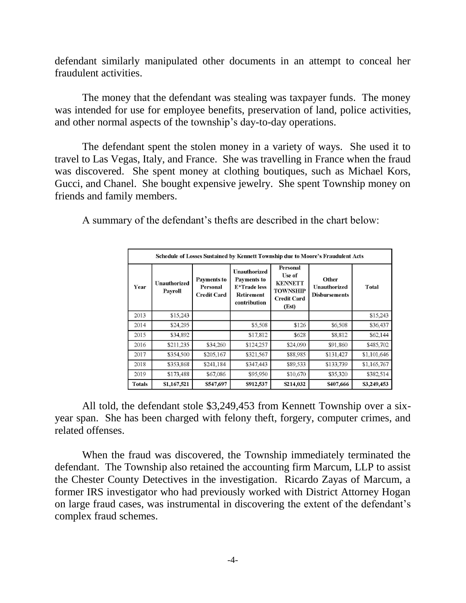defendant similarly manipulated other documents in an attempt to conceal her fraudulent activities.

The money that the defendant was stealing was taxpayer funds. The money was intended for use for employee benefits, preservation of land, police activities, and other normal aspects of the township's day-to-day operations.

The defendant spent the stolen money in a variety of ways. She used it to travel to Las Vegas, Italy, and France. She was travelling in France when the fraud was discovered. She spent money at clothing boutiques, such as Michael Kors, Gucci, and Chanel. She bought expensive jewelry. She spent Township money on friends and family members.

A summary of the defendant's thefts are described in the chart below:

| Schedule of Losses Sustained by Kennett Township due to Moore's Fraudulent Acts |                                |                                                      |                                                                                         |                                                                                        |                                               |              |
|---------------------------------------------------------------------------------|--------------------------------|------------------------------------------------------|-----------------------------------------------------------------------------------------|----------------------------------------------------------------------------------------|-----------------------------------------------|--------------|
| Year                                                                            | <b>Unauthorized</b><br>Payroll | <b>Payments to</b><br>Personal<br><b>Credit Card</b> | <b>Unauthorized</b><br><b>Payments to</b><br>E*Trade less<br>Retirement<br>contribution | Personal<br>Use of<br><b>KENNETT</b><br><b>TOWNSHIP</b><br><b>Credit Card</b><br>(Est) | Other<br>Unauthorized<br><b>Disbursements</b> | <b>Total</b> |
| 2013                                                                            | \$15,243                       |                                                      |                                                                                         |                                                                                        |                                               | \$15,243     |
| 2014                                                                            | \$24,295                       |                                                      | \$5,508                                                                                 | \$126                                                                                  | \$6,508                                       | \$36,437     |
| 2015                                                                            | \$34,892                       |                                                      | \$17,812                                                                                | \$628                                                                                  | \$8,812                                       | \$62,144     |
| 2016                                                                            | \$211,235                      | \$34,260                                             | \$124,257                                                                               | \$24,090                                                                               | \$91,860                                      | \$485,702    |
| 2017                                                                            | \$354,500                      | \$205,167                                            | \$321,567                                                                               | \$88,985                                                                               | \$131,427                                     | \$1,101,646  |
| 2018                                                                            | \$353,868                      | \$241,184                                            | \$347,443                                                                               | \$89,533                                                                               | \$133,739                                     | \$1,165,767  |
| 2019                                                                            | \$173,488                      | \$67,086                                             | \$95,950                                                                                | \$10,670                                                                               | \$35,320                                      | \$382,514    |
| <b>Totals</b>                                                                   | \$1,167,521                    | \$547,697                                            | \$912,537                                                                               | \$214,032                                                                              | \$407,666                                     | \$3,249,453  |

All told, the defendant stole \$3,249,453 from Kennett Township over a sixyear span. She has been charged with felony theft, forgery, computer crimes, and related offenses.

When the fraud was discovered, the Township immediately terminated the defendant. The Township also retained the accounting firm Marcum, LLP to assist the Chester County Detectives in the investigation. Ricardo Zayas of Marcum, a former IRS investigator who had previously worked with District Attorney Hogan on large fraud cases, was instrumental in discovering the extent of the defendant's complex fraud schemes.